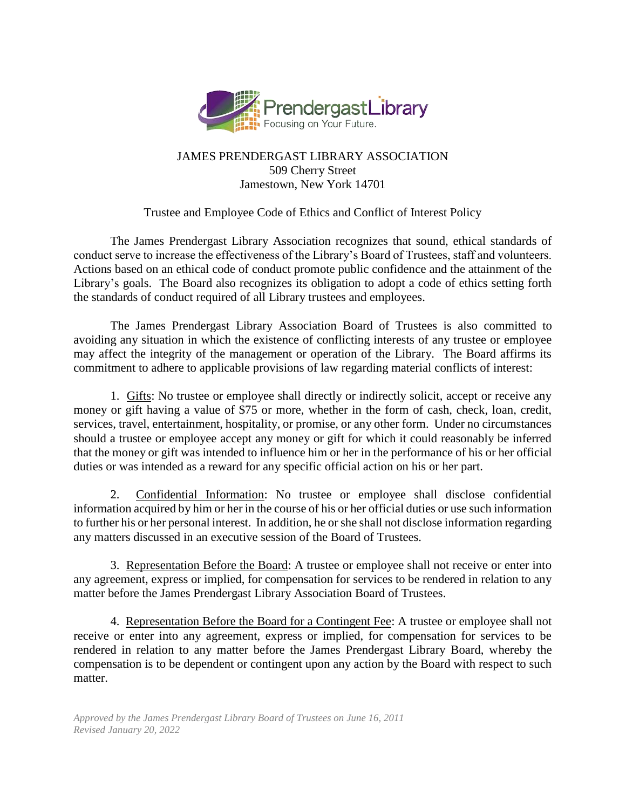

# JAMES PRENDERGAST LIBRARY ASSOCIATION 509 Cherry Street Jamestown, New York 14701

# Trustee and Employee Code of Ethics and Conflict of Interest Policy

The James Prendergast Library Association recognizes that sound, ethical standards of conduct serve to increase the effectiveness of the Library's Board of Trustees, staff and volunteers. Actions based on an ethical code of conduct promote public confidence and the attainment of the Library's goals. The Board also recognizes its obligation to adopt a code of ethics setting forth the standards of conduct required of all Library trustees and employees.

The James Prendergast Library Association Board of Trustees is also committed to avoiding any situation in which the existence of conflicting interests of any trustee or employee may affect the integrity of the management or operation of the Library. The Board affirms its commitment to adhere to applicable provisions of law regarding material conflicts of interest:

1. Gifts: No trustee or employee shall directly or indirectly solicit, accept or receive any money or gift having a value of \$75 or more, whether in the form of cash, check, loan, credit, services, travel, entertainment, hospitality, or promise, or any other form. Under no circumstances should a trustee or employee accept any money or gift for which it could reasonably be inferred that the money or gift was intended to influence him or her in the performance of his or her official duties or was intended as a reward for any specific official action on his or her part.

2. Confidential Information: No trustee or employee shall disclose confidential information acquired by him or her in the course of his or her official duties or use such information to further his or her personal interest. In addition, he or she shall not disclose information regarding any matters discussed in an executive session of the Board of Trustees.

3. Representation Before the Board: A trustee or employee shall not receive or enter into any agreement, express or implied, for compensation for services to be rendered in relation to any matter before the James Prendergast Library Association Board of Trustees.

4. Representation Before the Board for a Contingent Fee: A trustee or employee shall not receive or enter into any agreement, express or implied, for compensation for services to be rendered in relation to any matter before the James Prendergast Library Board, whereby the compensation is to be dependent or contingent upon any action by the Board with respect to such matter.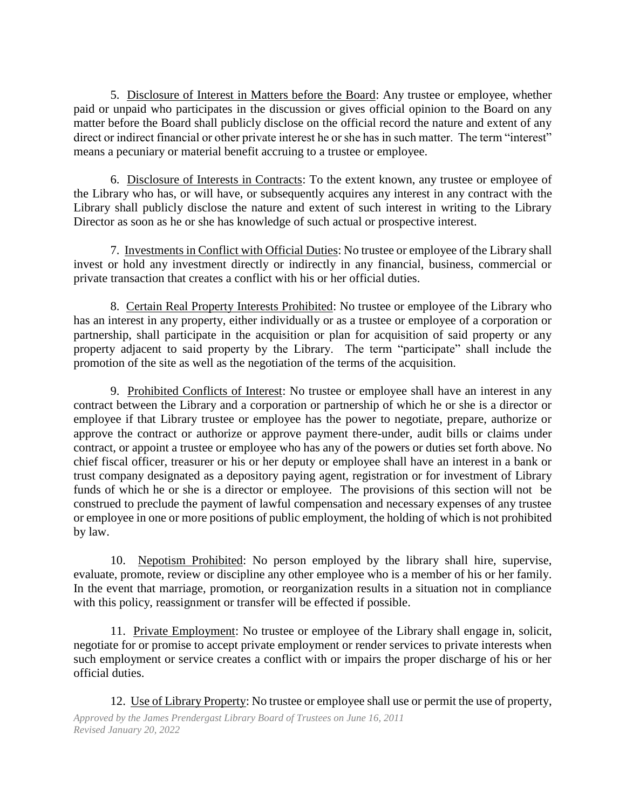5. Disclosure of Interest in Matters before the Board: Any trustee or employee, whether paid or unpaid who participates in the discussion or gives official opinion to the Board on any matter before the Board shall publicly disclose on the official record the nature and extent of any direct or indirect financial or other private interest he or she has in such matter. The term "interest" means a pecuniary or material benefit accruing to a trustee or employee.

6. Disclosure of Interests in Contracts: To the extent known, any trustee or employee of the Library who has, or will have, or subsequently acquires any interest in any contract with the Library shall publicly disclose the nature and extent of such interest in writing to the Library Director as soon as he or she has knowledge of such actual or prospective interest.

7. Investments in Conflict with Official Duties: No trustee or employee of the Library shall invest or hold any investment directly or indirectly in any financial, business, commercial or private transaction that creates a conflict with his or her official duties.

8. Certain Real Property Interests Prohibited: No trustee or employee of the Library who has an interest in any property, either individually or as a trustee or employee of a corporation or partnership, shall participate in the acquisition or plan for acquisition of said property or any property adjacent to said property by the Library. The term "participate" shall include the promotion of the site as well as the negotiation of the terms of the acquisition.

9. Prohibited Conflicts of Interest: No trustee or employee shall have an interest in any contract between the Library and a corporation or partnership of which he or she is a director or employee if that Library trustee or employee has the power to negotiate, prepare, authorize or approve the contract or authorize or approve payment there-under, audit bills or claims under contract, or appoint a trustee or employee who has any of the powers or duties set forth above. No chief fiscal officer, treasurer or his or her deputy or employee shall have an interest in a bank or trust company designated as a depository paying agent, registration or for investment of Library funds of which he or she is a director or employee. The provisions of this section will not be construed to preclude the payment of lawful compensation and necessary expenses of any trustee or employee in one or more positions of public employment, the holding of which is not prohibited by law.

10. Nepotism Prohibited: No person employed by the library shall hire, supervise, evaluate, promote, review or discipline any other employee who is a member of his or her family. In the event that marriage, promotion, or reorganization results in a situation not in compliance with this policy, reassignment or transfer will be effected if possible.

11. Private Employment: No trustee or employee of the Library shall engage in, solicit, negotiate for or promise to accept private employment or render services to private interests when such employment or service creates a conflict with or impairs the proper discharge of his or her official duties.

*Approved by the James Prendergast Library Board of Trustees on June 16, 2011*  12. Use of Library Property: No trustee or employee shall use or permit the use of property,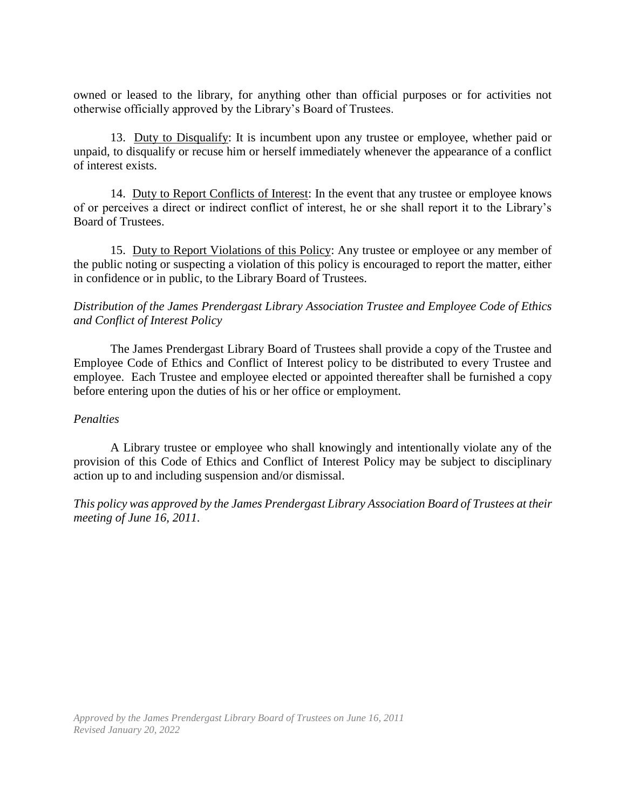owned or leased to the library, for anything other than official purposes or for activities not otherwise officially approved by the Library's Board of Trustees.

13. Duty to Disqualify: It is incumbent upon any trustee or employee, whether paid or unpaid, to disqualify or recuse him or herself immediately whenever the appearance of a conflict of interest exists.

14. Duty to Report Conflicts of Interest: In the event that any trustee or employee knows of or perceives a direct or indirect conflict of interest, he or she shall report it to the Library's Board of Trustees.

15. Duty to Report Violations of this Policy: Any trustee or employee or any member of the public noting or suspecting a violation of this policy is encouraged to report the matter, either in confidence or in public, to the Library Board of Trustees.

# *Distribution of the James Prendergast Library Association Trustee and Employee Code of Ethics and Conflict of Interest Policy*

The James Prendergast Library Board of Trustees shall provide a copy of the Trustee and Employee Code of Ethics and Conflict of Interest policy to be distributed to every Trustee and employee. Each Trustee and employee elected or appointed thereafter shall be furnished a copy before entering upon the duties of his or her office or employment.

#### *Penalties*

A Library trustee or employee who shall knowingly and intentionally violate any of the provision of this Code of Ethics and Conflict of Interest Policy may be subject to disciplinary action up to and including suspension and/or dismissal.

*This policy was approved by the James Prendergast Library Association Board of Trustees at their meeting of June 16, 2011.*